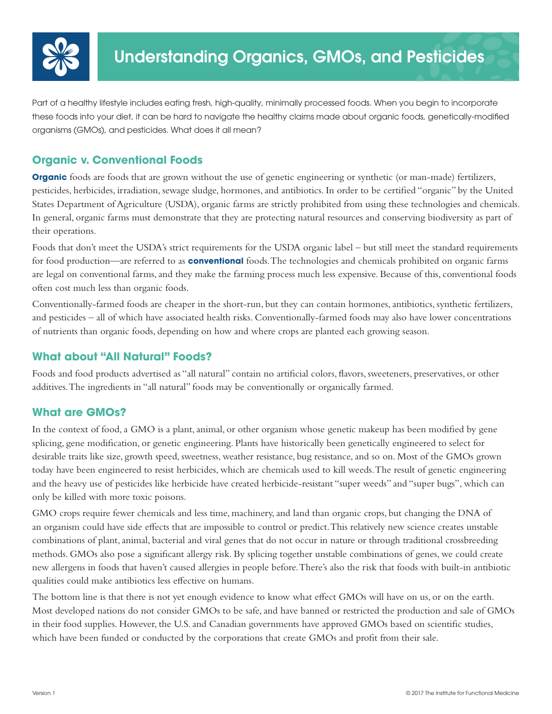

Part of a healthy lifestyle includes eating fresh, high-quality, minimally processed foods. When you begin to incorporate these foods into your diet, it can be hard to navigate the healthy claims made about organic foods, genetically-modified organisms (GMOs), and pesticides. What does it all mean?

# **Organic v. Conventional Foods**

**Organic** foods are foods that are grown without the use of genetic engineering or synthetic (or man-made) fertilizers, pesticides, herbicides, irradiation, sewage sludge, hormones, and antibiotics. In order to be certified "organic" by the United States Department of Agriculture (USDA), organic farms are strictly prohibited from using these technologies and chemicals. In general, organic farms must demonstrate that they are protecting natural resources and conserving biodiversity as part of their operations.

Foods that don't meet the USDA's strict requirements for the USDA organic label – but still meet the standard requirements for food production—are referred to as **conventional** foods. The technologies and chemicals prohibited on organic farms are legal on conventional farms, and they make the farming process much less expensive. Because of this, conventional foods often cost much less than organic foods.

Conventionally-farmed foods are cheaper in the short-run, but they can contain hormones, antibiotics, synthetic fertilizers, and pesticides – all of which have associated health risks. Conventionally-farmed foods may also have lower concentrations of nutrients than organic foods, depending on how and where crops are planted each growing season.

# **What about "All Natural" Foods?**

Foods and food products advertised as "all natural" contain no artificial colors, flavors, sweeteners, preservatives, or other additives. The ingredients in "all natural" foods may be conventionally or organically farmed.

# **What are GMOs?**

In the context of food, a GMO is a plant, animal, or other organism whose genetic makeup has been modified by gene splicing, gene modification, or genetic engineering. Plants have historically been genetically engineered to select for desirable traits like size, growth speed, sweetness, weather resistance, bug resistance, and so on. Most of the GMOs grown today have been engineered to resist herbicides, which are chemicals used to kill weeds. The result of genetic engineering and the heavy use of pesticides like herbicide have created herbicide-resistant "super weeds" and "super bugs", which can only be killed with more toxic poisons.

GMO crops require fewer chemicals and less time, machinery, and land than organic crops, but changing the DNA of an organism could have side effects that are impossible to control or predict. This relatively new science creates unstable combinations of plant, animal, bacterial and viral genes that do not occur in nature or through traditional crossbreeding methods. GMOs also pose a significant allergy risk. By splicing together unstable combinations of genes, we could create new allergens in foods that haven't caused allergies in people before. There's also the risk that foods with built-in antibiotic qualities could make antibiotics less effective on humans.

The bottom line is that there is not yet enough evidence to know what effect GMOs will have on us, or on the earth. Most developed nations do not consider GMOs to be safe, and have banned or restricted the production and sale of GMOs in their food supplies. However, the U.S. and Canadian governments have approved GMOs based on scientific studies, which have been funded or conducted by the corporations that create GMOs and profit from their sale.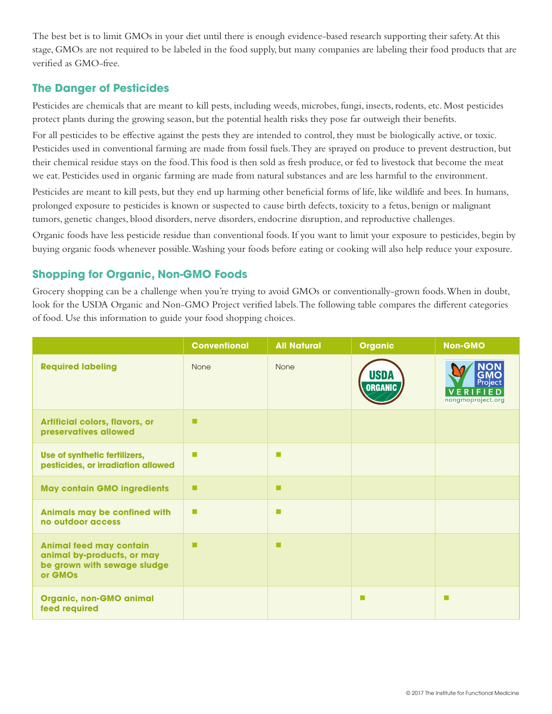The best bet is to limit GMOs in your diet until there is enough evidence-based research supporting their safety. At this stage, GMOs are not required to be labeled in the food supply, but many companies are labeling their food products that are verified as GMO-free.

### **The Danger of Pesticides**

Pesticides are chemicals that are meant to kill pests, including weeds, microbes, fungi, insects, rodents, etc. Most pesticides protect plants during the growing season, but the potential health risks they pose far outweigh their benefits.

For all pesticides to be effective against the pests they are intended to control, they must be biologically active, or toxic. Pesticides used in conventional farming are made from fossil fuels. They are sprayed on produce to prevent destruction, but their chemical residue stays on the food. This food is then sold as fresh produce, or fed to livestock that become the meat we eat. Pesticides used in organic farming are made from natural substances and are less harmful to the environment.

Pesticides are meant to kill pests, but they end up harming other beneficial forms of life, like wildlife and bees. In humans, prolonged exposure to pesticides is known or suspected to cause birth defects, toxicity to a fetus, benign or malignant tumors, genetic changes, blood disorders, nerve disorders, endocrine disruption, and reproductive challenges.

Organic foods have less pesticide residue than conventional foods. If you want to limit your exposure to pesticides, begin by buying organic foods whenever possible. Washing your foods before eating or cooking will also help reduce your exposure.

# **Shopping for Organic, Non-GMO Foods**

Grocery shopping can be a challenge when you're trying to avoid GMOs or conventionally-grown foods. When in doubt, look for the USDA Organic and Non-GMO Project verified labels. The following table compares the different categories of food. Use this information to guide your food shopping choices.

|                                                                                                        | <b>Conventional</b> | <b>All Natural</b> | <b>Organic</b>         | <b>Non-GMO</b>                                                |
|--------------------------------------------------------------------------------------------------------|---------------------|--------------------|------------------------|---------------------------------------------------------------|
| <b>Required labeling</b>                                                                               | None                | <b>None</b>        | USDA<br><b>ORGANIC</b> | <b>NON</b><br>GMO<br>Project<br>VERIFIED<br>nongmoproject.org |
| <b>Artificial colors, flavors, or</b><br>preservatives allowed                                         | п                   |                    |                        |                                                               |
| Use of synthetic fertilizers,<br>pesticides, or irradiation allowed                                    | г                   | п                  |                        |                                                               |
| <b>May contain GMO ingredients</b>                                                                     | п                   | п                  |                        |                                                               |
| Animals may be confined with<br>no outdoor access                                                      | п                   | п                  |                        |                                                               |
| <b>Animal feed may contain</b><br>animal by-products, or may<br>be grown with sewage sludge<br>or GMOs | п                   | п                  |                        |                                                               |
| <b>Organic, non-GMO animal</b><br>feed required                                                        |                     |                    | ш                      | <b>COL</b>                                                    |